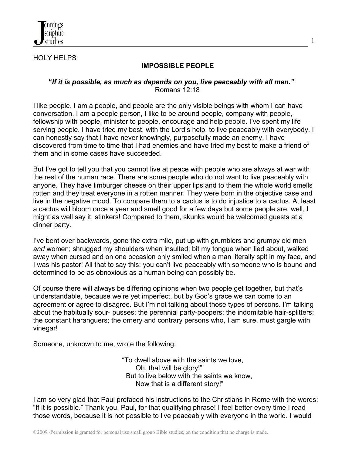

## HOLY HELPS

## **IMPOSSIBLE PEOPLE**

1

## **"***If it is possible, as much as depends on you, live peaceably with all men."* Romans 12:18

I like people. I am a people, and people are the only visible beings with whom I can have conversation. I am a people person, I like to be around people, company with people, fellowship with people, minister to people, encourage and help people. I've spent my life serving people. I have tried my best, with the Lord's help, to live peaceably with everybody. I can honestly say that I have never knowingly, purposefully made an enemy. I have discovered from time to time that I had enemies and have tried my best to make a friend of them and in some cases have succeeded.

But I've got to tell you that you cannot live at peace with people who are always at war with the rest of the human race. There are some people who do not want to live peaceably with anyone. They have limburger cheese on their upper lips and to them the whole world smells rotten and they treat everyone in a rotten manner. They were born in the objective case and live in the negative mood. To compare them to a cactus is to do injustice to a cactus. At least a cactus will bloom once a year and smell good for a few days but some people are, well, I might as well say it, stinkers! Compared to them, skunks would be welcomed guests at a dinner party.

I've bent over backwards, gone the extra mile, put up with grumblers and grumpy old men *and* women; shrugged my shoulders when insulted; bit my tongue when lied about, walked away when cursed and on one occasion only smiled when a man literally spit in my face, and I was his pastor! All that to say this: you can't live peaceably with someone who is bound and determined to be as obnoxious as a human being can possibly be.

Of course there will always be differing opinions when two people get together, but that's understandable, because we're yet imperfect, but by God's grace we can come to an agreement or agree to disagree. But I'm not talking about those types of persons. I'm talking about the habitually sour- pusses; the perennial party-poopers; the indomitable hair-splitters; the constant haranguers; the ornery and contrary persons who, I am sure, must gargle with vinegar!

Someone, unknown to me, wrote the following:

 "To dwell above with the saints we love, Oh, that will be glory!" But to live below with the saints we know, Now that is a different story!"

I am so very glad that Paul prefaced his instructions to the Christians in Rome with the words: "If it is possible." Thank you, Paul, for that qualifying phrase! I feel better every time I read those words, because it is not possible to live peaceably with everyone in the world. I would